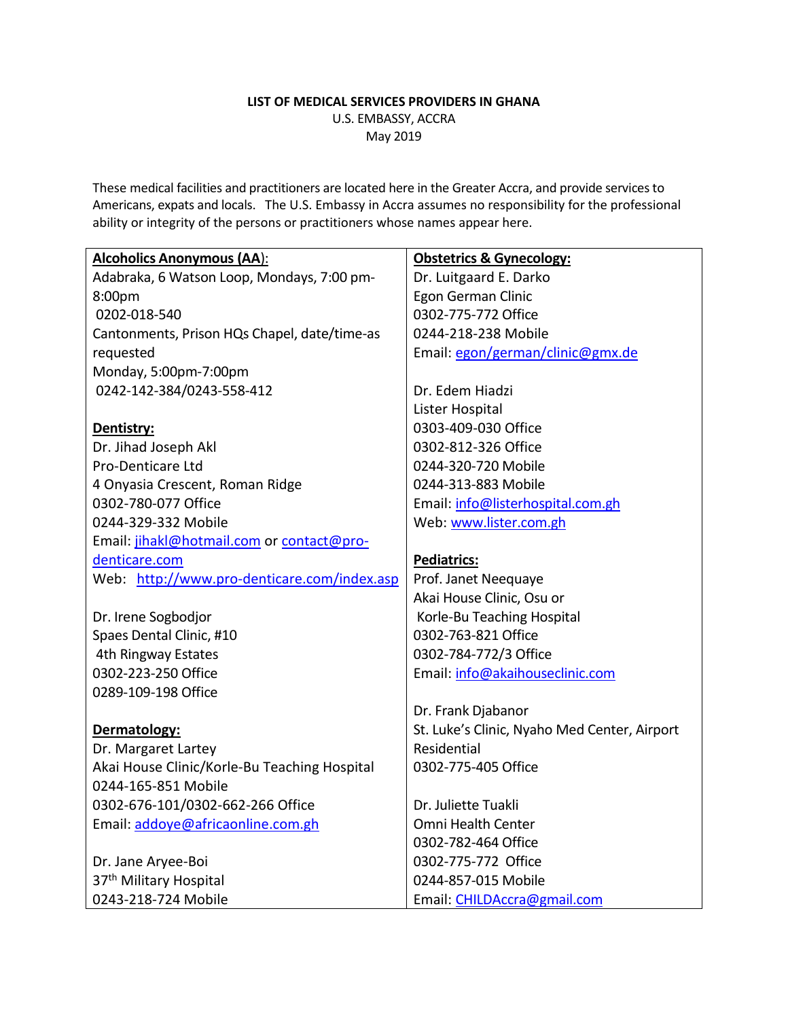#### **LIST OF MEDICAL SERVICES PROVIDERS IN GHANA** U.S. EMBASSY, ACCRA May 2019

These medical facilities and practitioners are located here in the Greater Accra, and provide services to Americans, expats and locals. The U.S. Embassy in Accra assumes no responsibility for the professional ability or integrity of the persons or practitioners whose names appear here.

| <b>Alcoholics Anonymous (AA):</b>            | <b>Obstetrics &amp; Gynecology:</b>          |
|----------------------------------------------|----------------------------------------------|
| Adabraka, 6 Watson Loop, Mondays, 7:00 pm-   | Dr. Luitgaard E. Darko                       |
| 8:00pm                                       | Egon German Clinic                           |
| 0202-018-540                                 | 0302-775-772 Office                          |
| Cantonments, Prison HQs Chapel, date/time-as | 0244-218-238 Mobile                          |
| requested                                    | Email: egon/german/clinic@gmx.de             |
| Monday, 5:00pm-7:00pm                        |                                              |
| 0242-142-384/0243-558-412                    | Dr. Edem Hiadzi                              |
|                                              | Lister Hospital                              |
| Dentistry:                                   | 0303-409-030 Office                          |
| Dr. Jihad Joseph Akl                         | 0302-812-326 Office                          |
| Pro-Denticare Ltd                            | 0244-320-720 Mobile                          |
| 4 Onyasia Crescent, Roman Ridge              | 0244-313-883 Mobile                          |
| 0302-780-077 Office                          | Email: info@listerhospital.com.gh            |
| 0244-329-332 Mobile                          | Web: www.lister.com.gh                       |
| Email: jihakl@hotmail.com or contact@pro-    |                                              |
| denticare.com                                | Pediatrics:                                  |
| Web: http://www.pro-denticare.com/index.asp  | Prof. Janet Neequaye                         |
|                                              | Akai House Clinic, Osu or                    |
| Dr. Irene Sogbodjor                          | Korle-Bu Teaching Hospital                   |
| Spaes Dental Clinic, #10                     | 0302-763-821 Office                          |
| 4th Ringway Estates                          | 0302-784-772/3 Office                        |
| 0302-223-250 Office                          | Email: info@akaihouseclinic.com              |
| 0289-109-198 Office                          |                                              |
|                                              | Dr. Frank Djabanor                           |
| Dermatology:                                 | St. Luke's Clinic, Nyaho Med Center, Airport |
| Dr. Margaret Lartey                          | Residential                                  |
| Akai House Clinic/Korle-Bu Teaching Hospital | 0302-775-405 Office                          |
| 0244-165-851 Mobile                          |                                              |
| 0302-676-101/0302-662-266 Office             | Dr. Juliette Tuakli                          |
| Email: addoye@africaonline.com.gh            | Omni Health Center                           |
|                                              | 0302-782-464 Office                          |
| Dr. Jane Aryee-Boi                           | 0302-775-772 Office                          |
| 37 <sup>th</sup> Military Hospital           | 0244-857-015 Mobile                          |
| 0243-218-724 Mobile                          | Email: CHILDAccra@gmail.com                  |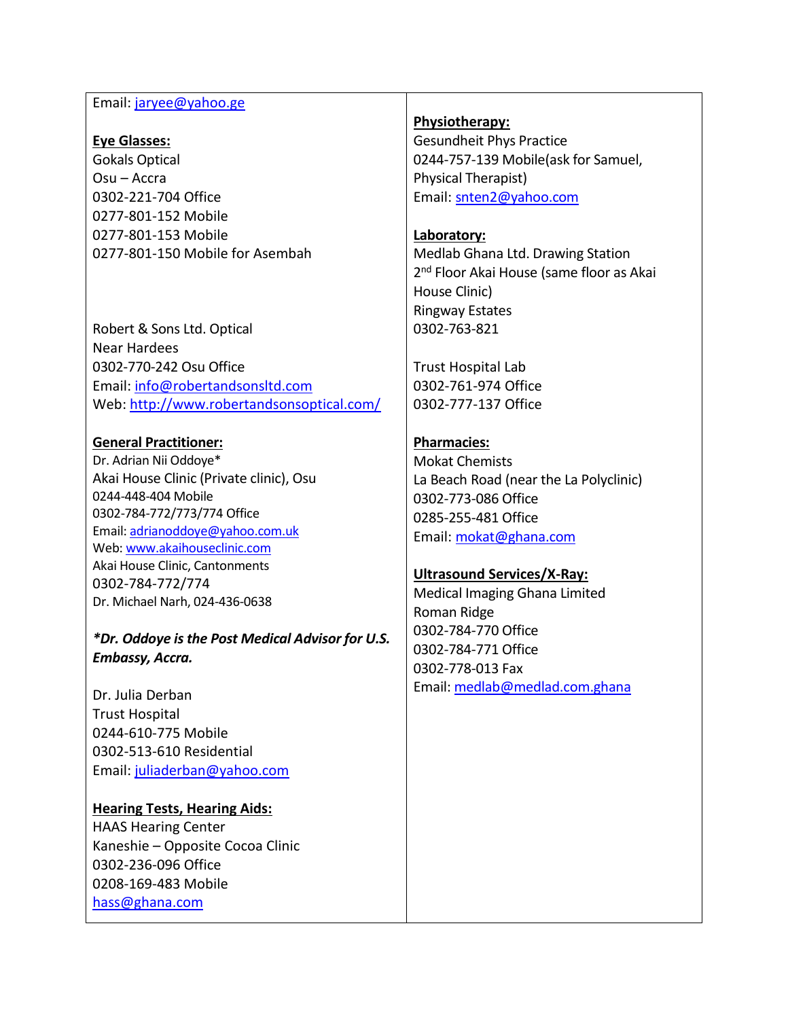#### Email: [jaryee@yahoo.ge](mailto:jaryee@yahoo.ge)

#### **Eye Glasses:**

Gokals Optical Osu – Accra 0302-221-704 Office 0277-801-152 Mobile 0277-801-153 Mobile 0277-801-150 Mobile for Asembah

Robert & Sons Ltd. Optical Near Hardees 0302-770-242 Osu Office Email: [info@robertandsonsltd.com](mailto:info@robertandsonslimited.com) Web:<http://www.robertandsonsoptical.com/>

## **General Practitioner:**

Dr. Adrian Nii Oddoye\* Akai House Clinic (Private clinic), Osu 0244-448-404 Mobile 0302-784-772/773/774 Office Email: [adrianoddoye@yahoo.com.uk](mailto:adrianoddoye@yahoo.com.uk) Web[: www.akaihouseclinic.com](http://www.akaihouseclinic.com/) Akai House Clinic, Cantonments 0302-784-772/774 Dr. Michael Narh, 024-436-0638

*\*Dr. Oddoye is the Post Medical Advisor for U.S. Embassy, Accra.*

Dr. Julia Derban Trust Hospital 0244-610-775 Mobile 0302-513-610 Residential Email: [juliaderban@yahoo.com](mailto:juliaderban@yahoo.com)

# **Hearing Tests, Hearing Aids:** HAAS Hearing Center

Kaneshie – Opposite Cocoa Clinic 0302-236-096 Office 0208-169-483 Mobile [hass@ghana.com](mailto:hass@ghana.com)

## **Physiotherapy:**

Gesundheit Phys Practice 0244-757-139 Mobile(ask for Samuel, Physical Therapist) Email: [snten2@yahoo.com](mailto:snten2@yahoo.com)

## **Laboratory:**

Medlab Ghana Ltd. Drawing Station 2<sup>nd</sup> Floor Akai House (same floor as Akai House Clinic) Ringway Estates 0302-763-821

Trust Hospital Lab 0302-761-974 Office 0302-777-137 Office

## **Pharmacies:**

Mokat Chemists La Beach Road (near the La Polyclinic) 0302-773-086 Office 0285-255-481 Office Email: [mokat@ghana.com](mailto:mokat@ghana.com)

#### **Ultrasound Services/X-Ray:**

Medical Imaging Ghana Limited Roman Ridge 0302-784-770 Office 0302-784-771 Office 0302-778-013 Fax Email: [medlab@medlad.com.ghana](mailto:medlab@medlad.com.ghana)